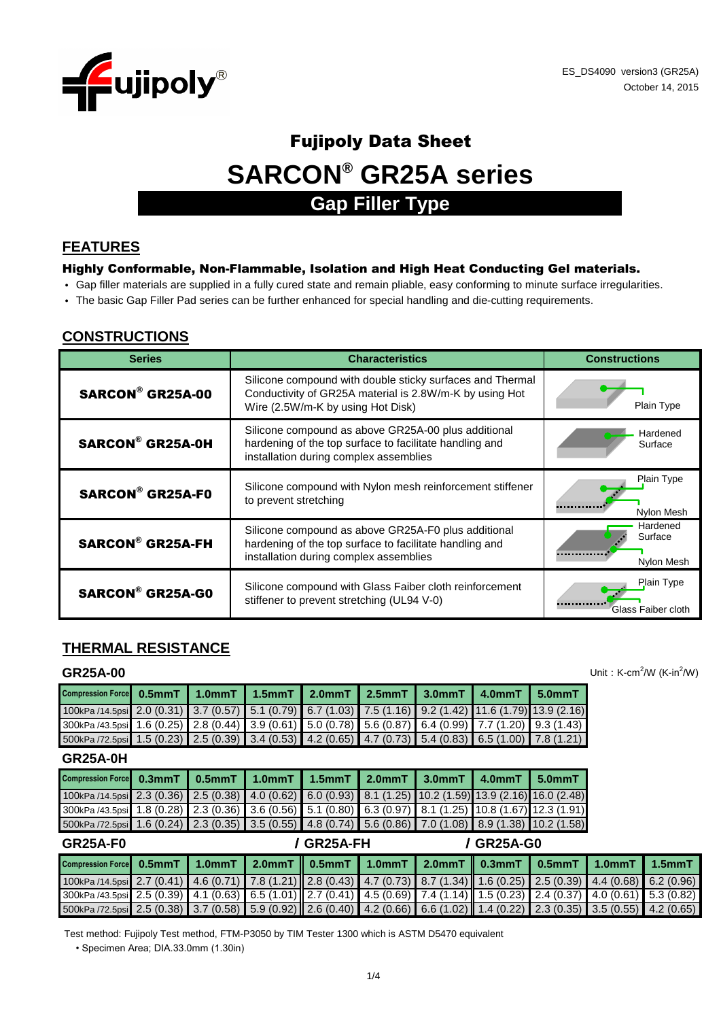

# **SARCON® GR25A series** Fujipoly Data Sheet **Gap Filler Type**

### **FEATURES**

#### Highly Conformable, Non-Flammable, Isolation and High Heat Conducting Gel materials.

- Gap filler materials are supplied in a fully cured state and remain pliable, easy conforming to minute surface irregularities.
- The basic Gap Filler Pad series can be further enhanced for special handling and die-cutting requirements.

# **CONSTRUCTIONS**

| <b>Series</b>           | <b>Characteristics</b>                                                                                                                                    | <b>Constructions</b>              |
|-------------------------|-----------------------------------------------------------------------------------------------------------------------------------------------------------|-----------------------------------|
| <b>SARCON® GR25A-00</b> | Silicone compound with double sticky surfaces and Thermal<br>Conductivity of GR25A material is 2.8W/m-K by using Hot<br>Wire (2.5W/m-K by using Hot Disk) | Plain Type                        |
| <b>SARCON® GR25A-0H</b> | Silicone compound as above GR25A-00 plus additional<br>hardening of the top surface to facilitate handling and<br>installation during complex assemblies  | Hardened<br>Surface               |
| <b>SARCON® GR25A-F0</b> | Silicone compound with Nylon mesh reinforcement stiffener<br>to prevent stretching                                                                        | Plain Type<br>Nylon Mesh          |
| <b>SARCON® GR25A-FH</b> | Silicone compound as above GR25A-F0 plus additional<br>hardening of the top surface to facilitate handling and<br>installation during complex assemblies  | Hardened<br>Surface<br>Nylon Mesh |
| <b>SARCON® GR25A-G0</b> | Silicone compound with Glass Faiber cloth reinforcement<br>stiffener to prevent stretching (UL94 V-0)                                                     | Plain Type<br>Glass Faiber cloth  |

# **THERMAL RESISTANCE**

#### **GR25A-00**

| Compression Force 0.5mmT 1.0mmT 1.5mmT 2.0mmT 2.5mmT 3.0mmT 4.0mmT 5.0mmT                                 |  |  |  |  |
|-----------------------------------------------------------------------------------------------------------|--|--|--|--|
| 100kPa /14.5psi 2.0 (0.31) 3.7 (0.57) 5.1 (0.79) 6.7 (1.03) 7.5 (1.16) 9.2 (1.42) 11.6 (1.79) 13.9 (2.16) |  |  |  |  |
| 300kPa /43.5psi 1.6 (0.25) 2.8 (0.44) 3.9 (0.61) 5.0 (0.78) 5.6 (0.87) 6.4 (0.99) 7.7 (1.20) 9.3 (1.43)   |  |  |  |  |
| 500kPa /72.5psi 1.5 (0.23) 2.5 (0.39) 3.4 (0.53) 4.2 (0.65) 4.7 (0.73) 5.4 (0.83) 6.5 (1.00) 7.8 (1.21)   |  |  |  |  |

**GR25A-0H**

| Compression Force 0.3mmT 0.5mmT 1.0mmT 1.5mmT 2.0mmT 3.0mmT 4.0mmT 5.0mmT                                  |  |  |  |  |
|------------------------------------------------------------------------------------------------------------|--|--|--|--|
| 100kPa /14.5psi 2.3 (0.36) 2.5 (0.38) 4.0 (0.62) 6.0 (0.93) 8.1 (1.25) 10.2 (1.59) 13.9 (2.16) 16.0 (2.48) |  |  |  |  |
| 300kPa /43.5psi 1.8 (0.28) 2.3 (0.36) 3.6 (0.56) 5.1 (0.80) 6.3 (0.97) 8.1 (1.25) 10.8 (1.67) 12.3 (1.91)  |  |  |  |  |
| 500kPa /72.5psi 1.6 (0.24) 2.3 (0.35) 3.5 (0.55) 4.8 (0.74) 5.6 (0.86) 7.0 (1.08) 8.9 (1.38) 10.2 (1.58)   |  |  |  |  |

| GR25A-F0                                                                                                                      |  | / GR25A-FH |  |  | / GR25A-G0 |  |  |  |
|-------------------------------------------------------------------------------------------------------------------------------|--|------------|--|--|------------|--|--|--|
| Compression Force 0.5mmT 1.0mmT 2.0mmT 0.5mmT 1.0mmT 2.0mmT 0.3mmT 0.5mmT 1.0mmT 1.5mmT                                       |  |            |  |  |            |  |  |  |
| 100kPa /14.5psi 2.7 (0.41) 4.6 (0.71) 7.8 (1.21) 2.8 (0.43) 4.7 (0.73) 8.7 (1.34) 1.6 (0.25) 2.5 (0.39) 4.4 (0.68) 6.2 (0.96) |  |            |  |  |            |  |  |  |
| 300kPa /43.5psi 2.5 (0.39) 4.1 (0.63) 6.5 (1.01) 2.7 (0.41) 4.5 (0.69) 7.4 (1.14) 1.5 (0.23) 2.4 (0.37) 4.0 (0.61) 5.3 (0.82) |  |            |  |  |            |  |  |  |
| 500kPa /72.5psi 2.5 (0.38) 3.7 (0.58) 5.9 (0.92) 2.6 (0.40) 4.2 (0.66) 6.6 (1.02) 1.4 (0.22) 2.3 (0.35) 3.5 (0.55) 4.2 (0.65) |  |            |  |  |            |  |  |  |

Test method: Fujipoly Test method, FTM-P3050 by TIM Tester 1300 which is ASTM D5470 equivalent

• Specimen Area; DIA.33.0mm (1.30in)

Unit:  $K-cm^2/W$  (K-in $^2/W$ )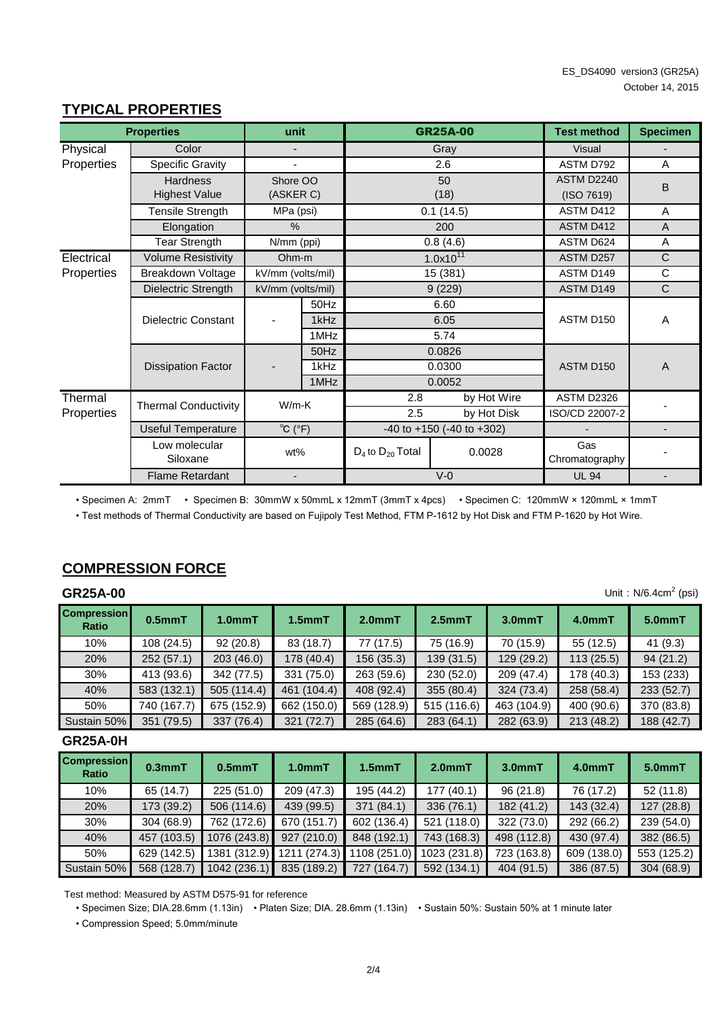|            | <b>Properties</b>           | unit                        |                               |                         | <b>GR25A-00</b>                     | <b>Test method</b>    | <b>Specimen</b> |
|------------|-----------------------------|-----------------------------|-------------------------------|-------------------------|-------------------------------------|-----------------------|-----------------|
| Physical   | Color                       |                             |                               |                         | Gray                                | <b>Visual</b>         |                 |
| Properties | Specific Gravity            |                             |                               |                         | 2.6                                 | ASTM D792             | A               |
|            | <b>Hardness</b>             | Shore OO                    |                               |                         | 50                                  | ASTM D2240            | B               |
|            | <b>Highest Value</b>        | (ASKER C)                   |                               |                         | (18)                                | (ISO 7619)            |                 |
|            | Tensile Strength            | MPa (psi)                   |                               |                         | 0.1(14.5)                           | ASTM D412             | A               |
|            | Elongation                  | $\%$                        |                               |                         | 200                                 | <b>ASTM D412</b>      | A               |
|            | <b>Tear Strength</b>        | N/mm (ppi)<br>0.8(4.6)      |                               | ASTM D624               | A                                   |                       |                 |
| Electrical | <b>Volume Resistivity</b>   | Ohm-m                       |                               |                         | $1.0x10^{11}$                       | ASTM D257             | C               |
| Properties | Breakdown Voltage           |                             | kV/mm (volts/mil)<br>15 (381) |                         | ASTM D149                           | C                     |                 |
|            | Dielectric Strength         |                             | 9(229)<br>kV/mm (volts/mil)   |                         | ASTM D149                           | C                     |                 |
|            |                             |                             | 50Hz                          |                         | 6.60                                |                       |                 |
|            | Dielectric Constant         |                             | 1kHz<br>6.05                  |                         | ASTM D150                           | A                     |                 |
|            |                             |                             | 1MHz                          |                         | 5.74                                |                       |                 |
|            |                             |                             | 50Hz                          |                         | 0.0826                              |                       |                 |
|            | <b>Dissipation Factor</b>   |                             | 1kHz                          |                         | 0.0300                              | ASTM D <sub>150</sub> | $\overline{A}$  |
|            |                             |                             | 1MHz                          |                         | 0.0052                              |                       |                 |
| Thermal    | <b>Thermal Conductivity</b> | $W/m-K$                     |                               | 2.8                     | by Hot Wire                         | <b>ASTM D2326</b>     |                 |
| Properties |                             |                             |                               | 2.5                     | by Hot Disk                         | ISO/CD 22007-2        |                 |
|            | <b>Useful Temperature</b>   | $^{\circ}C$ ( $^{\circ}F$ ) |                               |                         | $-40$ to $+150$ ( $-40$ to $+302$ ) |                       |                 |
|            | Low molecular<br>Siloxane   | wt%                         |                               | $D_4$ to $D_{20}$ Total | 0.0028                              | Gas<br>Chromatography |                 |
|            | <b>Flame Retardant</b>      |                             |                               |                         | $V - 0$                             | <b>UL 94</b>          |                 |

# **TYPICAL PROPERTIES**

• Specimen A: 2mmT • Specimen B: 30mmW x 50mmL x 12mmT (3mmT x 4pcs) • Specimen C: 120mmW × 120mmL × 1mmT

• Test methods of Thermal Conductivity are based on Fujipoly Test Method, FTM P-1612 by Hot Disk and FTM P-1620 by Hot Wire.

# **COMPRESSION FORCE**

# **GR25A-00**

| <b>GR25A-00</b>             | Unit: $N/6.4cm2$ (psi) |                     |              |             |             |             |            |            |  |  |
|-----------------------------|------------------------|---------------------|--------------|-------------|-------------|-------------|------------|------------|--|--|
| <b>Compression</b><br>Ratio | $0.5$ mm $T$           | 1.0 <sub>mm</sub> T | $1.5$ mm $T$ | $2.0mm$ T   | $2.5mm$ T   | $3.0mm$ T   | $4.0mm$ T  | $5.0mm$ T  |  |  |
| 10%                         | 108 (24.5)             | 92(20.8)            | 83 (18.7)    | 77 (17.5)   | 75 (16.9)   | 70 (15.9)   | 55 (12.5)  | 41(9.3)    |  |  |
| 20%                         | 252(57.1)              | 203(46.0)           | 178 (40.4)   | 156(35.3)   | 139(31.5)   | 129 (29.2)  | 113(25.5)  | 94(21.2)   |  |  |
| 30%                         | 413 (93.6)             | 342 (77.5)          | 331 (75.0)   | 263 (59.6)  | 230(52.0)   | 209 (47.4)  | 178 (40.3) | 153 (233)  |  |  |
| 40%                         | 583 (132.1)            | 505 (114.4)         | 461 (104.4)  | 408 (92.4)  | 355(80.4)   | 324 (73.4)  | 258 (58.4) | 233(52.7)  |  |  |
| 50%                         | 740 (167.7)            | 675 (152.9)         | 662 (150.0)  | 569 (128.9) | 515 (116.6) | 463 (104.9) | 400 (90.6) | 370 (83.8) |  |  |
| Sustain 50%                 | 351 (79.5)             | 337 (76.4)          | 321 (72.7)   | 285 (64.6)  | 283 (64.1)  | 282 (63.9)  | 213 (48.2) | 188 (42.7) |  |  |

#### **GR25A-0H**

| <b>Compression</b><br>Ratio | $0.3mm$ T   | $0.5$ mm $T$ | $1.0mm$ T    | $1.5mm$ T      | 2.0 <sub>mm</sub> T | $3.0mm$ T   | $4.0mm$ T   | $5.0mm$ T   |
|-----------------------------|-------------|--------------|--------------|----------------|---------------------|-------------|-------------|-------------|
| 10%                         | 65 (14.7)   | 225(51.0)    | 209 (47.3)   | 195 (44.2)     | 177(40.1)           | 96(21.8)    | 76 (17.2)   | 52(11.8)    |
| 20%                         | 173 (39.2)  | 506 (114.6)  | 439 (99.5)   | 371 (84.1)     | 336(76.1)           | 182 (41.2)  | 143 (32.4)  | 127(28.8)   |
| 30%                         | 304 (68.9)  | 762 (172.6)  | 670 (151.7)  | 602 (136.4)    | 521 (118.0)         | 322 (73.0)  | 292 (66.2)  | 239 (54.0)  |
| 40%                         | 457 (103.5) | 1076 (243.8) | 927 (210.0)  | 848 (192.1)    | 743 (168.3)         | 498 (112.8) | 430 (97.4)  | 382 (86.5)  |
| 50%                         | 629 (142.5) | 1381 (312.9) | 1211 (274.3) | 1108 (251.0)   | 1023 (231.8)        | 723 (163.8) | 609 (138.0) | 553 (125.2) |
| Sustain 50%                 | 568 (128.7) | 1042 (236.1) | 835 (189.2)  | (164.7)<br>727 | 592 (134.1)         | 404 (91.5)  | 386 (87.5)  | 304 (68.9)  |

Test method: Measured by ASTM D575-91 for reference

• Specimen Size; DIA.28.6mm (1.13in) • Platen Size; DIA. 28.6mm (1.13in) • Sustain 50%: Sustain 50% at 1 minute later

• Compression Speed; 5.0mm/minute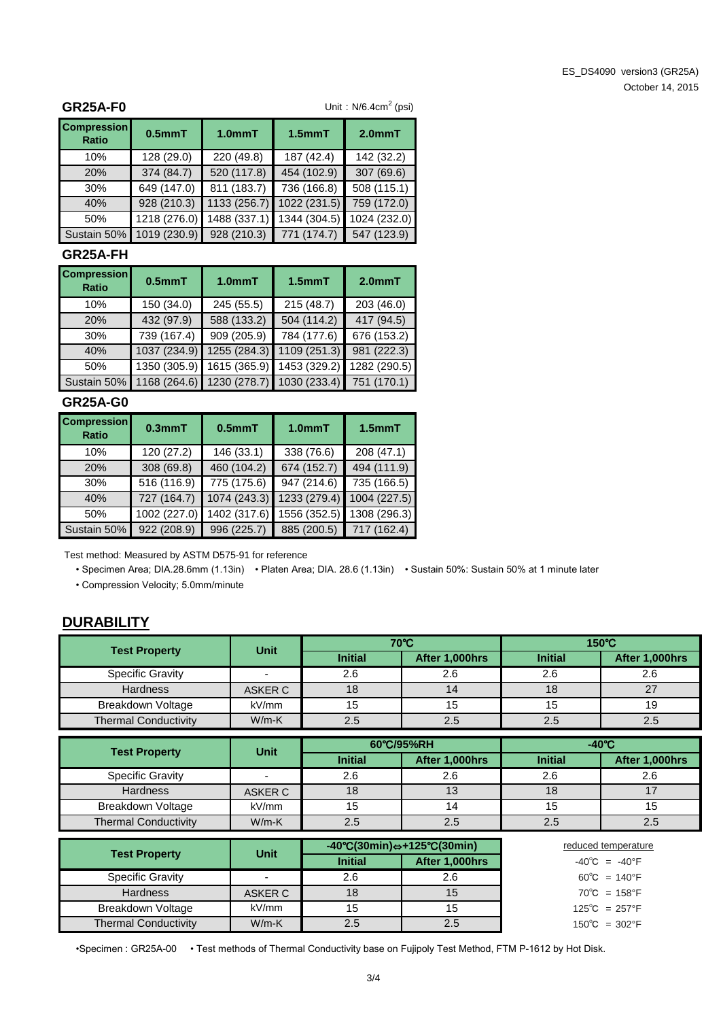#### **GR25A-F0**

Unit:  $N/6.4$ cm<sup>2</sup> (psi)

| <b>Compression</b><br><b>Ratio</b> | $0.5$ mm $T$ | $1.0mm$ T    | $1.5$ mm $T$ | $2.0mm$ T    |
|------------------------------------|--------------|--------------|--------------|--------------|
| 10%                                | 128 (29.0)   | 220 (49.8)   | 187 (42.4)   | 142 (32.2)   |
| 20%                                | 374 (84.7)   | 520 (117.8)  | 454 (102.9)  | 307 (69.6)   |
| 30%                                | 649 (147.0)  | 811 (183.7)  | 736 (166.8)  | 508 (115.1)  |
| 40%                                | 928 (210.3)  | 1133 (256.7) | 1022 (231.5) | 759 (172.0)  |
| 50%                                | 1218 (276.0) | 1488 (337.1) | 1344 (304.5) | 1024 (232.0) |
| Sustain 50%                        | 1019 (230.9) | 928 (210.3)  | 771 (174.7)  | 547 (123.9)  |

#### **GR25A-FH**

| <b>Compression</b><br><b>Ratio</b> | $0.5$ mm $T$ | $1.0mm$ T<br>$1.5$ mm $T$ |                                                    | $2.0mm$ T                 |
|------------------------------------|--------------|---------------------------|----------------------------------------------------|---------------------------|
| 10%                                | 150 (34.0)   | 245 (55.5)                | 215(48.7)                                          | 203 (46.0)                |
| 20%                                | 432 (97.9)   | 588 (133.2)               | 504 (114.2)                                        | 417 (94.5)                |
| 30%                                | 739 (167.4)  | 909 (205.9)               | 784 (177.6)                                        | 676 (153.2)               |
| 40%                                | 1037 (234.9) | 1255 (284.3)              | 1109 (251.3)                                       | 981 (222.3)               |
| 50%                                | 1350 (305.9) | 1615 (365.9)              |                                                    | 1453 (329.2) 1282 (290.5) |
| Sustain 50%                        |              |                           | 1168 (264.6) 1230 (278.7) 1030 (233.4) 751 (170.1) |                           |

#### **GR25A-G0**

| <b>Compression</b><br><b>Ratio</b> | $0.5$ mm $T$<br>$0.3$ mm $T$ |                         | 1.0 <sub>mm</sub> T | 1.5 <sub>mm</sub> T |
|------------------------------------|------------------------------|-------------------------|---------------------|---------------------|
| 10%                                | 120 (27.2)                   | 146 (33.1)              | 338 (76.6)          | 208 (47.1)          |
| <b>20%</b>                         | 308 (69.8)                   | 460 (104.2)             | 674 (152.7)         | 494 (111.9)         |
| 30%                                | 516 (116.9)                  | $\overline{775(175.6)}$ | 947 (214.6)         | 735 (166.5)         |
| 40%                                | 727 (164.7)                  | 1074 (243.3)            | 1233 (279.4)        | 1004 (227.5)        |
| 50%                                | 1002 (227.0)                 | 1402 (317.6)            | 1556 (352.5)        | 1308 (296.3)        |
| Sustain 50%                        | 922 (208.9)                  | 996 (225.7)             | 885 (200.5)         | 717 (162.4)         |

Test method: Measured by ASTM D575-91 for reference

• Specimen Area; DIA.28.6mm (1.13in) • Platen Area; DIA. 28.6 (1.13in) • Sustain 50%: Sustain 50% at 1 minute later

• Compression Velocity; 5.0mm/minute

# **DURABILITY**

|                             | <b>Unit</b>              |                | 70°C           | 150°C          |                 |  |  |
|-----------------------------|--------------------------|----------------|----------------|----------------|-----------------|--|--|
| <b>Test Property</b>        |                          | <b>Initial</b> | After 1,000hrs | <b>Initial</b> | After 1,000hrs  |  |  |
| <b>Specific Gravity</b>     | $\overline{\phantom{0}}$ | 2.6            | 2.6            | 2.6            | 2.6             |  |  |
| <b>Hardness</b>             | <b>ASKER C</b>           | 18             | 14             | 18             | 27              |  |  |
| Breakdown Voltage           | kV/mm                    | 15             | 15             | 15             | 19              |  |  |
| <b>Thermal Conductivity</b> | $W/m-K$                  | 2.5            | 2.5            | 2.5            | 2.5             |  |  |
|                             |                          |                | 60°C/95%RH     |                | $-40^{\circ}$ C |  |  |
| <b>Test Property</b>        | <b>Unit</b>              | <b>Initial</b> | After 1,000hrs | <b>Initial</b> | After 1,000hrs  |  |  |
| <b>Specific Gravity</b>     | $\overline{\phantom{0}}$ | 2.6            | 2.6            | 2.6            | 2.6             |  |  |
| <b>Hardness</b>             | ASKER C                  | 18             | 13             | 18             | 17              |  |  |
| Breakdown Voltage           | kV/mm                    | 15             | 14             | 15             | 15              |  |  |
| <b>Thermal Conductivity</b> | $W/m-K$                  | 2.5            | 2.5            | 2.5            | 2.5             |  |  |

| <b>Test Property</b>        | <b>Unit</b> |                | $-40^{\circ}C(30\text{min}) \Leftrightarrow +125^{\circ}C(30\text{min})$ | reduced temperature               |  |
|-----------------------------|-------------|----------------|--------------------------------------------------------------------------|-----------------------------------|--|
|                             |             | <b>Initial</b> | After 1,000hrs                                                           | $-40^{\circ}$ C = $-40^{\circ}$ F |  |
| <b>Specific Gravity</b>     |             | 2.6            | 2.6                                                                      | $60^{\circ}$ C = 140°F            |  |
| <b>Hardness</b>             | ASKER C     | 18             | 15                                                                       | $70^{\circ}$ C = 158°F            |  |
| Breakdown Voltage           | kV/mm       | 15             |                                                                          | $125^{\circ}C = 257^{\circ}F$     |  |
| <b>Thermal Conductivity</b> | $W/m-K$     | 2.5            | 2.5                                                                      | $150^{\circ}$ C = 302°F           |  |

•Specimen : GR25A-00 • Test methods of Thermal Conductivity base on Fujipoly Test Method, FTM P-1612 by Hot Disk.